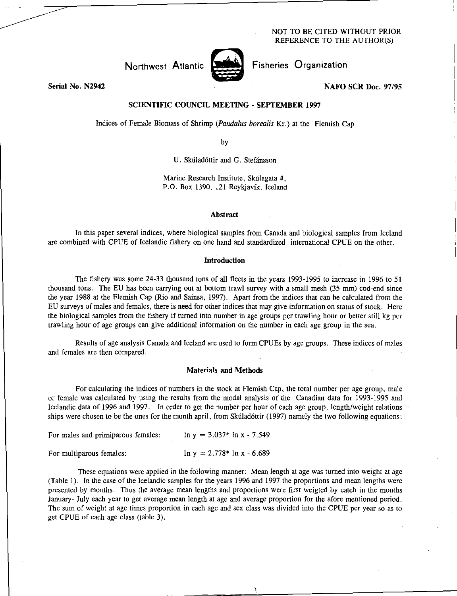## NOT TO BE CITED WITHOUT PRIOR REFERENCE TO THE AUTHOR(S)

Northwest Atlantic

Fisheries Organization

**NAFO SCR Doc. 97/95** 

**Serial No. N2942** 

# **SCIENTIFIC COUNCIL MEETING - SEPTEMBER 1997**

Indices of Female Biomass of Shrimp *(Pandalus borealis* Kr.) at the Flemish Cap

by

U. Skúladóttir and G. Stefánsson

Marine Research Institute, Skúlagata 4, P.O. Box 1390, 121 Reykjavik, Iceland

#### **Abstract**

In this paper several indices, where biological samples from Canada and biological samples from Iceland are combined with CPUE of Icelandic fishery on one hand and standardized international CPUE on the other.

### **Introduction**

The fishery was some 24-33 thousand tons of all fleets in the years 1993-1995 to increase in 1996 to 51 thousand tons. The EU has been carrying out at bottom trawl survey with a small mesh (35 mm) cod-end since the year 1988 at the Flemish Cap (Rio and Sainsa, 1997). Apart from the indices that can be calculated from the EU surveys of males and females, there is need for other indices that may give information on status of stock. Here the biological samples from the fishery if turned into number in age groups per trawling hour or better still kg per trawling hour of age groups can give additional information on the number in each age group in the sea.

Results of age analysis Canada and Iceland are used to form CPUEs by age groups. These indices of males and females are then compared.

## **Materials and Methods**

For calculating the indices of numbers in the stock at Flemish Cap, the total number per age group, male or female was calculated by using the results from the modal analysis of the Canadian data for 1993-1995 and Icelandic data of 1996 and 1997. In order to get the number per hour of each age group, length/weight relations ships were chosen to be the ones for the month april, from Skuladottir (1997) namely the two following equations:

| For males and primiparous females: | $\ln y = 3.037$ * $\ln x - 7.549$ |
|------------------------------------|-----------------------------------|
| For multiparous females:           | $\ln y = 2.778$ * $\ln x - 6.689$ |

These equations were applied in the following manner: Mean length at age was turned into weight at age (Table 1). In the case of the Icelandic samples for the years 1996 and 1997 the proportions and mean lengths were presented by months. Thus the average mean lengths and proportions were first weigted by catch in the months January- July each year to get average mean length at age and average proportion for the afore mentioned period. The sum of weight at age times proportion in each age and sex class was divided into the CPUE per year so as to get CPUE of each age class (table 3).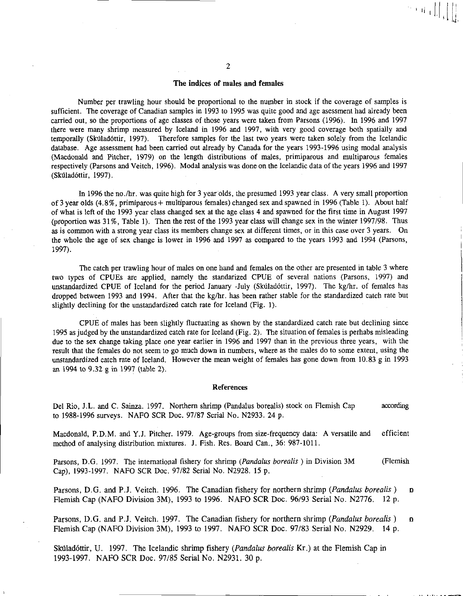## The indices of males and females

Number per trawling hour should be proportional to the number in stock if the coverage of samples is sufficient. The coverage of Canadian samples in 1993 to 1995 was quite good and age asessment had already been carried out, so the proportions of age classes of those years were taken from Parsons (1996). In 1996 and 1997 there were many shrimp measured by Iceland in 1996 and 1997, with very good coverage both spatially and temporally (Skúladóttir, 1997). Therefore samples for the last two years were taken solely from the Icelandic database. Age assessment had been carried out already by Canada for the years 1993-1996 using modal analysis (Macdonald and Pitcher, 1979) on the length distributions of males, primiparous and multiparous females respectively (Parsons and Veitch, 1996). Modal analysis was done on the Icelandic data of the years 1996 and 1997 (Skúladóttir, 1997).

In 1996 the no./hr. was quite high for 3 year olds, the presumed 1993 year class. A very small proportion of 3 year olds (4.8%, primiparous+ multiparous females) changed sex and spawned in 1996 (Table 1). About half of what is left of the 1993 year class changed sex at the age class 4 and spawned for the first time in August 1997 (proportion was 31%, Table 1). Then the rest of the 1993 year class will change sex in the winter 1997/98. Thus as is common with a strong year class its members change sex at different times, or in this case over 3 years. On the whole the age of sex change is lower in 1996 and 1997 as compared to the years 1993 and 1994 (Parsons, 1997).

The catch per trawling hour of males on one hand and females on the other are presented in table 3 where two types of CPUEs are applied, namely the standarized CPUE of several nations (Parsons, 1997) and unstandardized CPUE of Iceland for the period January -July (Skúladóttir, 1997). The kg/hr. of females has dropped between 1993 and 1994. After that the kg/hr. has been rather stable for the standardized catch rate but slightly declining for the unstandardized catch rate for Iceland (Fig. I).

CPUE of males has been slightly fluctuating as shown by the standardized catch rate but declining since 1995 as judged by the unstandardized catch rate for Iceland (Fig. 2). The situation of females is perhabs misleading due to the sex change taking place one year earlier in 1996 and 1997 than in the previous three years, with the result that the females do not seem to go much down in numbers, where as the males do to some extent, using the unstandardized catch rate of Iceland. However the mean weight of females has gone down from 10.83 g in 1993 an 1994 to 9.32 g in 1997 (table 2).

#### References

Del Rio, J.L. and C. Sainza. 1997. Northern shrimp (Pandalus borealis) stock on Flemish Cap according to 1988-1996 surveys. NAFO SCR Doc. 97/87 Serial No. N2933. 24 p.

Macdonald, P.D.M. and Y.J. Pitcher. 1979. Age-groups from size-frequency data: A versatile and efficient method of analysing distribution mixtures. J. Fish. Res. Board Can., 36: 987-1011.

Parsons, D.G. 1997. The international fishery for shrimp *(Pandalus borealis )* in Division 3M (Flemish Cap), 1993-1997. NAFO SCR Doc. 97/82 Serial No. N2928. 15 p.

Parsons, D.G. and P.J. Veitch. 1996. The Canadian fishery for northern shrimp *(Pandalus borealis )*   $\overline{D}$ Flemish Cap (NAFO Division 3M), 1993 to 1996. NAFO SCR Doc. 96/93 Serial No. N2776. 12 p.

Parsons, D.G. and P.J. Veitch. 1997. The Canadian fishery for northern shrimp *(Pandalus borealis )*  D. Flemish Cap (NAFO Division 3M), 1993 to 1997. NAFO SCR Doc. 97/83 Serial No. N2929. 14 p.

Skúladóttir, U. 1997. The Icelandic shrimp fishery *(Pandalus borealis Kr.)* at the Flemish Cap in 1993-1997. NAFO SCR Doc. 97/85 Serial No. N2931. 30 p.

 $\left\| \left\| \left\| \left[ \left[ \left[ \left( \left[ \left] \right] \right] \right] \right] \right] \right\| \right\|_{2} \right\|_{2} \right\|_{2} \left\| \left[ \left[ \left[ \left[ \left[ \left( \left[ \left( \left[ \left] \right] \right] \right] \right] \right] \right] \right] \right\|_{2} \right] \right\|_{2} \right\|_{2}$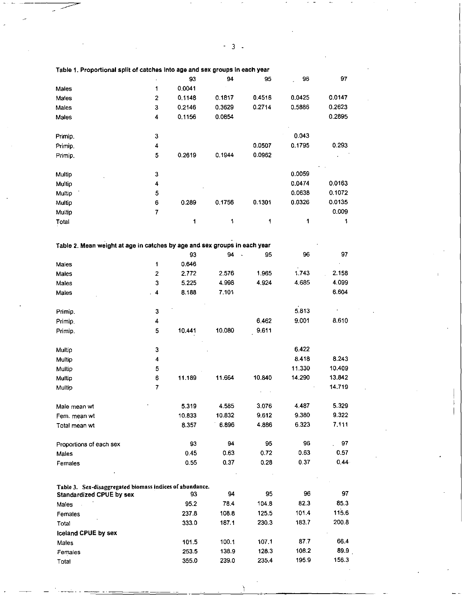| Table 1. Proportional split of catches into age and sex groups in each year |                         |        |        |         |        |          |
|-----------------------------------------------------------------------------|-------------------------|--------|--------|---------|--------|----------|
|                                                                             |                         | 93     | 94     | 95      | 96     | 97       |
| Males                                                                       | 1                       | 0.0041 |        |         |        |          |
| Males                                                                       | $\overline{\mathbf{c}}$ | 0.1148 | 0.1817 | 0.4516  | 0.0425 | 0.0147   |
| Males                                                                       | 3                       | 0.2146 | 0.3629 | 0.2714  | 0.5886 | 0.2623   |
| Males                                                                       | 4                       | 0.1156 | 0.0854 |         |        | 0.2895   |
| Primip.                                                                     | 3                       |        |        |         | 0.043  |          |
| Primip.                                                                     | 4                       |        |        | 0.0507  | 0.1795 | 0.293    |
| Primip.                                                                     | 5                       | 0.2619 | 0.1944 | 0.0962  |        |          |
| Multip                                                                      | 3                       |        |        |         | 0.0059 |          |
| Multip                                                                      | 4                       |        |        |         | 0.0474 | 0.0163   |
| Multip                                                                      | 5                       |        |        |         | 0.0638 | 0.1072   |
| Multip                                                                      | 6                       | 0.289  | 0.1756 | 0.1301  | 0.0326 | 0.0135   |
| Multip                                                                      | $\overline{7}$          |        |        |         |        | 0.009    |
| Total                                                                       |                         | 1      | 1      | 1       | 1      | 1        |
| Table 2. Mean weight at age in catches by age and sex groups in each year   |                         |        |        |         |        |          |
|                                                                             |                         | 93     | 94     | 95      | 96     | 97       |
| Males                                                                       | 1                       | 0.646  |        |         |        |          |
| Males                                                                       | $\mathbf 2$             | 2.772  | 2.576  | 1.965   | 1.743  | 2.158    |
| Males                                                                       | 3                       | 5.225  | 4.998  | 4 9 2 4 | 4.685  | 4.099    |
| Males                                                                       | 4                       | 8.188  | 7.101  |         |        | 6.604    |
| Primip.                                                                     | 3                       |        |        |         | 5.813  |          |
| Primip.                                                                     | 4                       |        |        | 6.462   | 9.001  | 8.610    |
| Primip.                                                                     | 5                       | 10.441 | 10.080 | 9.611   |        |          |
| Multip                                                                      | 3                       |        |        |         | 6.422  |          |
| Multip                                                                      | 4                       |        |        |         | 8.418  | 8.243    |
| Multip                                                                      | 5                       |        |        |         | 11.330 | 10.409   |
| Multip                                                                      | 6                       | 11.189 | 11.664 | 10.840  | 14.290 | 13.842   |
| Multip                                                                      | $\overline{7}$          |        |        |         |        | 14.719   |
| Male mean wt                                                                |                         | 5.319  | 4.585  | 3.076   | 4.487  | 5.329    |
| Fem. mean wt                                                                |                         | 10.833 | 10.832 | 9.612   | 9.380  | 9.322    |
| Total mean wt                                                               |                         | 8.357  | 6.896  | 4.886   | 6.323  | 7.111    |
| Proportions of each sex                                                     |                         | 93     | 94     | 95      | 96     | 97       |
| Males                                                                       |                         | 0.45   | 0.63   | 0.72    | 0.63   | 0.57     |
| Females                                                                     |                         | 0.55   | 0.37   | 0.28    | 0.37   | $0.44 -$ |
| Table 3. Sex-disaggregated biomass indices of abundance.                    |                         |        |        |         |        |          |
| <b>Standardized CPUE by sex</b>                                             |                         | 93     | 94     | 95      | 96     | 97       |
| Males                                                                       |                         | 95.2   | 78.4   | 104.8   | 82.3   | 85.3     |
| Females                                                                     |                         | 237.8  | 108.8  | 125.5   | 101.4  | 115.6    |
| Total                                                                       |                         | 333.0  | 187.1  | 230.3   | 183.7  | 200.8    |
| <b>Iceland CPUE by sex</b>                                                  |                         |        |        |         |        |          |
| Males                                                                       |                         | 101.5  | 100.1  | 107.1   | 877    | 66.4     |
| Females                                                                     |                         | 253.5  | 138.9  | 128.3   | 108.2  | 89.9     |
| Total                                                                       |                         | 355.0  | 239.0  | 235.4   | 195.9  | 156.3    |

u,